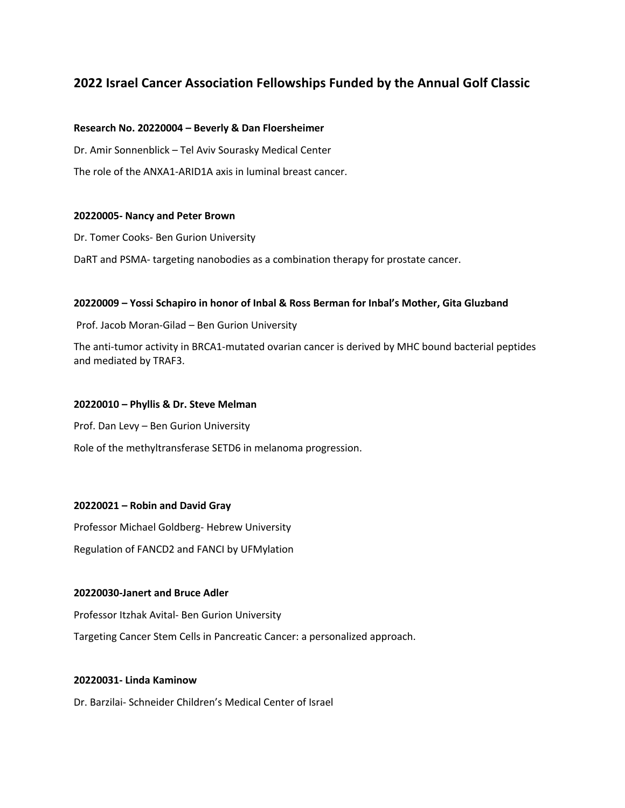# **2022 Israel Cancer Association Fellowships Funded by the Annual Golf Classic**

#### **Research No. 20220004 – Beverly & Dan Floersheimer**

Dr. Amir Sonnenblick – Tel Aviv Sourasky Medical Center

The role of the ANXA1-ARID1A axis in luminal breast cancer.

#### **20220005- Nancy and Peter Brown**

Dr. Tomer Cooks- Ben Gurion University

DaRT and PSMA- targeting nanobodies as a combination therapy for prostate cancer.

#### **20220009 – Yossi Schapiro in honor of Inbal & Ross Berman for Inbal's Mother, Gita Gluzband**

Prof. Jacob Moran-Gilad – Ben Gurion University

The anti-tumor activity in BRCA1-mutated ovarian cancer is derived by MHC bound bacterial peptides and mediated by TRAF3.

#### **20220010 – Phyllis & Dr. Steve Melman**

Prof. Dan Levy – Ben Gurion University Role of the methyltransferase SETD6 in melanoma progression.

#### **20220021 – Robin and David Gray**

Professor Michael Goldberg- Hebrew University

Regulation of FANCD2 and FANCI by UFMylation

#### **20220030-Janert and Bruce Adler**

Professor Itzhak Avital- Ben Gurion University

Targeting Cancer Stem Cells in Pancreatic Cancer: a personalized approach.

#### **20220031- Linda Kaminow**

Dr. Barzilai- Schneider Children's Medical Center of Israel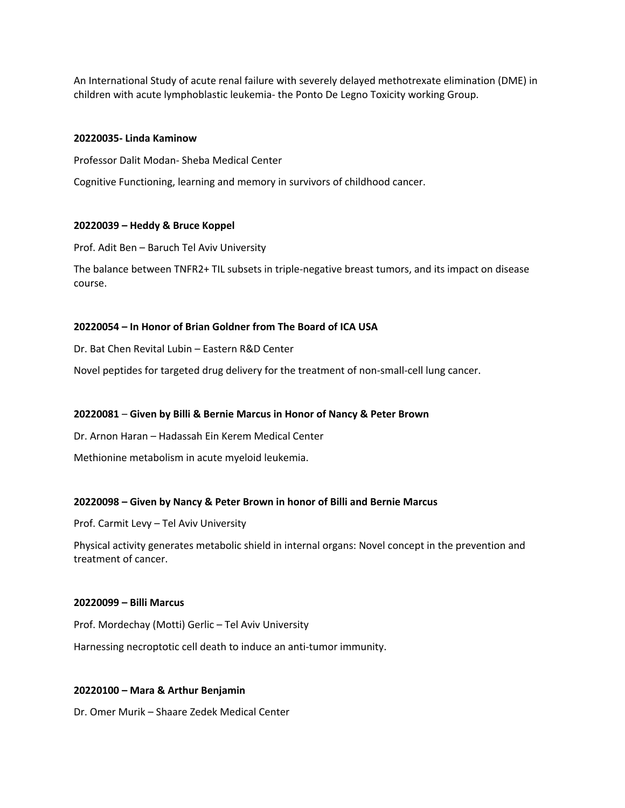An International Study of acute renal failure with severely delayed methotrexate elimination (DME) in children with acute lymphoblastic leukemia- the Ponto De Legno Toxicity working Group.

#### **20220035- Linda Kaminow**

Professor Dalit Modan- Sheba Medical Center

Cognitive Functioning, learning and memory in survivors of childhood cancer.

## **20220039 – Heddy & Bruce Koppel**

Prof. Adit Ben – Baruch Tel Aviv University

The balance between TNFR2+ TIL subsets in triple-negative breast tumors, and its impact on disease course.

## **20220054 – In Honor of Brian Goldner from The Board of ICA USA**

Dr. Bat Chen Revital Lubin – Eastern R&D Center

Novel peptides for targeted drug delivery for the treatment of non-small-cell lung cancer.

## **20220081** – **Given by Billi & Bernie Marcus in Honor of Nancy & Peter Brown**

Dr. Arnon Haran – Hadassah Ein Kerem Medical Center

Methionine metabolism in acute myeloid leukemia.

## **20220098 – Given by Nancy & Peter Brown in honor of Billi and Bernie Marcus**

Prof. Carmit Levy – Tel Aviv University

Physical activity generates metabolic shield in internal organs: Novel concept in the prevention and treatment of cancer.

#### **20220099 – Billi Marcus**

Prof. Mordechay (Motti) Gerlic – Tel Aviv University

Harnessing necroptotic cell death to induce an anti-tumor immunity.

## **20220100 – Mara & Arthur Benjamin**

Dr. Omer Murik – Shaare Zedek Medical Center